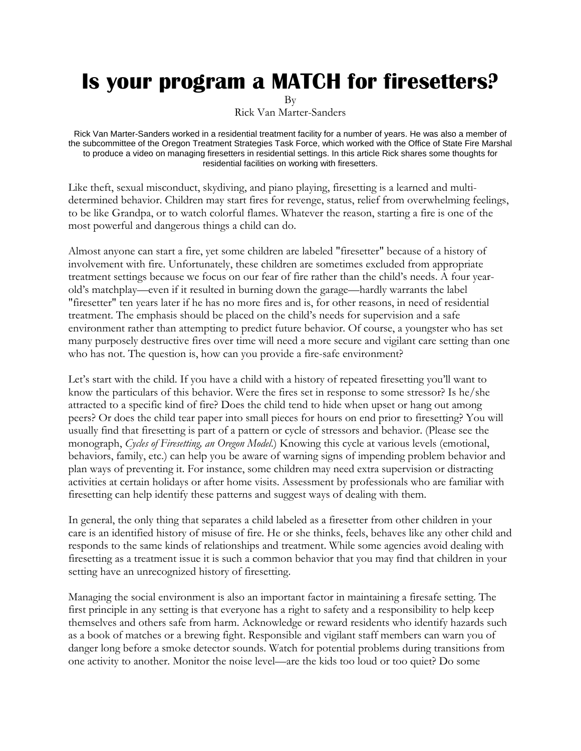## **Is your program a MATCH for firesetters?**

By

Rick Van Marter-Sanders

Rick Van Marter-Sanders worked in a residential treatment facility for a number of years. He was also a member of the subcommittee of the Oregon Treatment Strategies Task Force, which worked with the Office of State Fire Marshal to produce a video on managing firesetters in residential settings. In this article Rick shares some thoughts for residential facilities on working with firesetters.

Like theft, sexual misconduct, skydiving, and piano playing, firesetting is a learned and multidetermined behavior. Children may start fires for revenge, status, relief from overwhelming feelings, to be like Grandpa, or to watch colorful flames. Whatever the reason, starting a fire is one of the most powerful and dangerous things a child can do.

Almost anyone can start a fire, yet some children are labeled "firesetter" because of a history of involvement with fire. Unfortunately, these children are sometimes excluded from appropriate treatment settings because we focus on our fear of fire rather than the child's needs. A four yearold's matchplay—even if it resulted in burning down the garage—hardly warrants the label "firesetter" ten years later if he has no more fires and is, for other reasons, in need of residential treatment. The emphasis should be placed on the child's needs for supervision and a safe environment rather than attempting to predict future behavior. Of course, a youngster who has set many purposely destructive fires over time will need a more secure and vigilant care setting than one who has not. The question is, how can you provide a fire-safe environment?

Let's start with the child. If you have a child with a history of repeated firesetting you'll want to know the particulars of this behavior. Were the fires set in response to some stressor? Is he/she attracted to a specific kind of fire? Does the child tend to hide when upset or hang out among peers? Or does the child tear paper into small pieces for hours on end prior to firesetting? You will usually find that firesetting is part of a pattern or cycle of stressors and behavior. (Please see the monograph, *Cycles of Firesetting, an Oregon Model*.) Knowing this cycle at various levels (emotional, behaviors, family, etc.) can help you be aware of warning signs of impending problem behavior and plan ways of preventing it. For instance, some children may need extra supervision or distracting activities at certain holidays or after home visits. Assessment by professionals who are familiar with firesetting can help identify these patterns and suggest ways of dealing with them.

In general, the only thing that separates a child labeled as a firesetter from other children in your care is an identified history of misuse of fire. He or she thinks, feels, behaves like any other child and responds to the same kinds of relationships and treatment. While some agencies avoid dealing with firesetting as a treatment issue it is such a common behavior that you may find that children in your setting have an unrecognized history of firesetting.

Managing the social environment is also an important factor in maintaining a firesafe setting. The first principle in any setting is that everyone has a right to safety and a responsibility to help keep themselves and others safe from harm. Acknowledge or reward residents who identify hazards such as a book of matches or a brewing fight. Responsible and vigilant staff members can warn you of danger long before a smoke detector sounds. Watch for potential problems during transitions from one activity to another. Monitor the noise level—are the kids too loud or too quiet? Do some